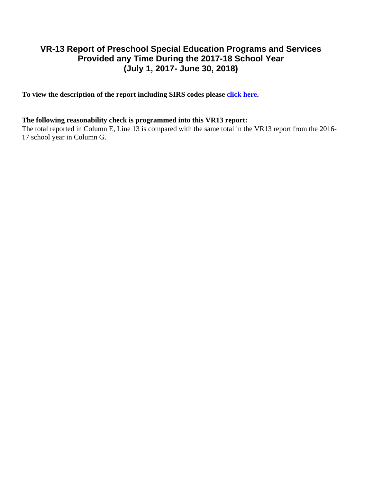## **VR-13 Report of Preschool Special Education Programs and Services Provided any Time During the 2017-18 School Year (July 1, 2017- June 30, 2018)**

To view the description of the report including SIRS codes please click here.

## **The following reasonability check is programmed into this VR13 report:**

The total reported in Column E, Line 13 is compared with the same total in the VR13 report from the 2016-17 school year in Column G.